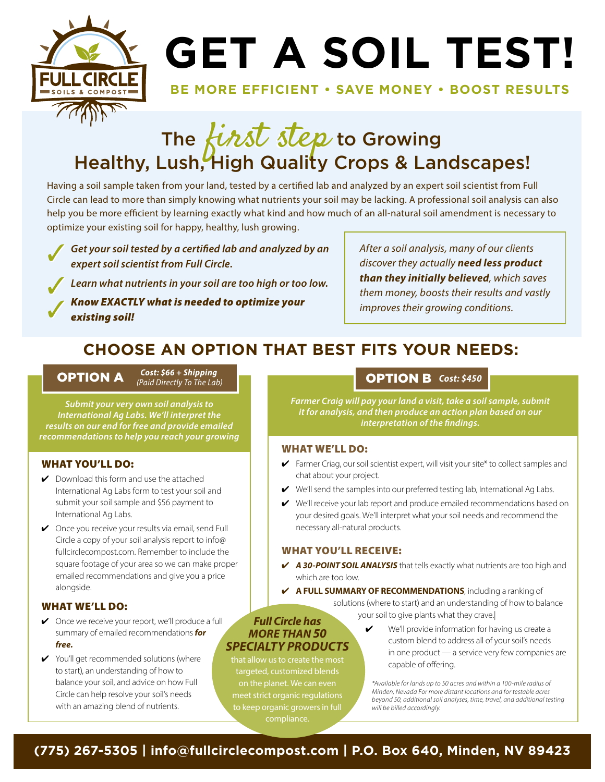

# **GET A SOIL TEST!**

#### **BE MORE EFFICIENT • SAVE MONEY • BOOST RESULTS**

### The *first step* to Growing Healthy, Lush, High Quality Crops & Landscapes!

Having a soil sample taken from your land, tested by a certified lab and analyzed by an expert soil scientist from Full Circle can lead to more than simply knowing what nutrients your soil may be lacking. A professional soil analysis can also help you be more efficient by learning exactly what kind and how much of an all-natural soil amendment is necessary to optimize your existing soil for happy, healthy, lush growing.

*Get your soil tested by a certified lab and analyzed by an expert soil scientist from Full Circle.* 

*Learn what nutrients in your soil are too high or too low.*

*Know EXACTLY what is needed to optimize your existing soil!*

*After a soil analysis, many of our clients discover they actually need less product than they initially believed, which saves them money, boosts their results and vastly improves their growing conditions.* 

### **CHOOSE AN OPTION THAT BEST FITS YOUR NEEDS:**

*Cost: \$66 + Shipping* **OPTION A** Cost: 566 + Shipping<br>(Paid Directly To The Lab)

*Submit your very own soil analysis to International Ag Labs. We'll interpret the results on our end for free and provide emailed recommendations to help you reach your growing* 

#### WHAT YOU'LL DO:

- $\vee$  Download this form and use the attached International Ag Labs form to test your soil and submit your soil sample and \$56 payment to International Ag Labs.
- ◆ Once you receive your results via email, send Full Circle a copy of your soil analysis report to info@ fullcirclecompost.com. Remember to include the square footage of your area so we can make proper emailed recommendations and give you a price alongside.

#### WHAT WE'LL DO:

- ✔ Once we receive your report, we'll produce a full summary of emailed recommendations *for free.*
- ✔ You'll get recommended solutions (where to start), an understanding of how to balance your soil, and advice on how Full Circle can help resolve your soil's needs with an amazing blend of nutrients.

#### *(Paid Directly To The Lab) Cost: \$450*

*Farmer Craig will pay your land a visit, take a soil sample, submit it for analysis, and then produce an action plan based on our interpretation of the findings.*

#### WHAT WE'LL DO:

- $\blacktriangleright$  Farmer Criag, our soil scientist expert, will visit your site\* to collect samples and chat about your project.
- ✔ We'll send the samples into our preferred testing lab, International Ag Labs.
- ✔ We'll receive your lab report and produce emailed recommendations based on your desired goals. We'll interpret what your soil needs and recommend the necessary all-natural products.

#### WHAT YOU'LL RECEIVE:

- ✔ *A 30-POINT SOIL ANALYSIS* that tells exactly what nutrients are too high and which are too low.
- ✔ **A FULL SUMMARY OF RECOMMENDATIONS**, including a ranking of
	- solutions (where to start) and an understanding of how to balance your soil to give plants what they crave.|

#### *Full Circle has MORE THAN 50 SPECIALTY PRODUCTS*

that allow us to create the most targeted, customized blends on the planet. We can even meet strict organic regulations to keep organic growers in full compliance.

We'll provide information for having us create a custom blend to address all of your soil's needs in one product — a service very few companies are capable of offering.

*\*Available for lands up to 50 acres and within a 100-mile radius of Minden, Nevada For more distant locations and for testable acres beyond 50, additional soil analyses, time, travel, and additional testing will be billed accordingly.*

#### **(775) 267-5305 | info@fullcirclecompost.com | P.O. Box 640, Minden, NV 89423**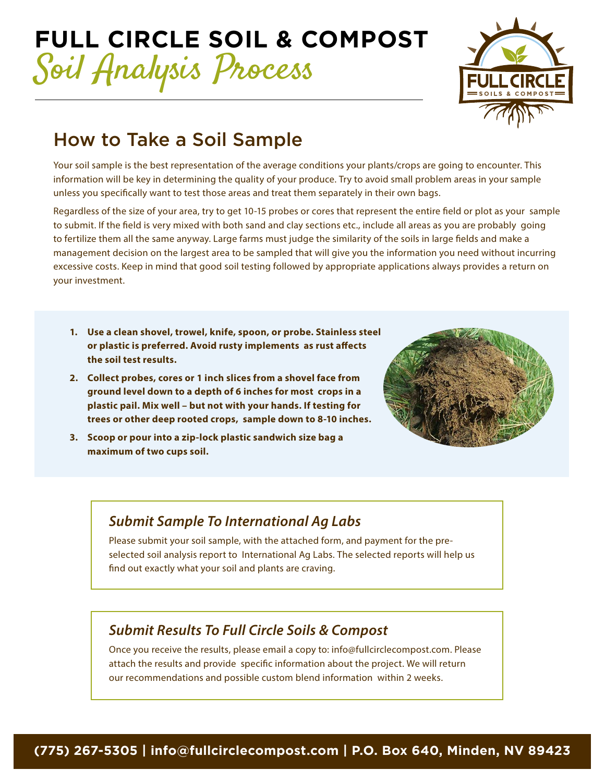## **FULL CIRCLE SOIL & COMPOST**  Soil Analysis Process



### How to Take a Soil Sample

Your soil sample is the best representation of the average conditions your plants/crops are going to encounter. This information will be key in determining the quality of your produce. Try to avoid small problem areas in your sample unless you specifically want to test those areas and treat them separately in their own bags.

Regardless of the size of your area, try to get 10-15 probes or cores that represent the entire field or plot as your sample to submit. If the field is very mixed with both sand and clay sections etc., include all areas as you are probably going to fertilize them all the same anyway. Large farms must judge the similarity of the soils in large fields and make a management decision on the largest area to be sampled that will give you the information you need without incurring excessive costs. Keep in mind that good soil testing followed by appropriate applications always provides a return on your investment.

- **1. Use a clean shovel, trowel, knife, spoon, or probe. Stainless steel or plastic is preferred. Avoid rusty implements as rust affects the soil test results.**
- **2. Collect probes, cores or 1 inch slices from a shovel face from ground level down to a depth of 6 inches for most crops in a plastic pail. Mix well – but not with your hands. If testing for trees or other deep rooted crops, sample down to 8-10 inches.**
- **3. Scoop or pour into a zip-lock plastic sandwich size bag a maximum of two cups soil.**



#### *Submit Sample To International Ag Labs*

Please submit your soil sample, with the attached form, and payment for the preselected soil analysis report to International Ag Labs. The selected reports will help us find out exactly what your soil and plants are craving.

#### *Submit Results To Full Circle Soils & Compost*

Once you receive the results, please email a copy to: info@fullcirclecompost.com. Please attach the results and provide specific information about the project. We will return our recommendations and possible custom blend information within 2 weeks.